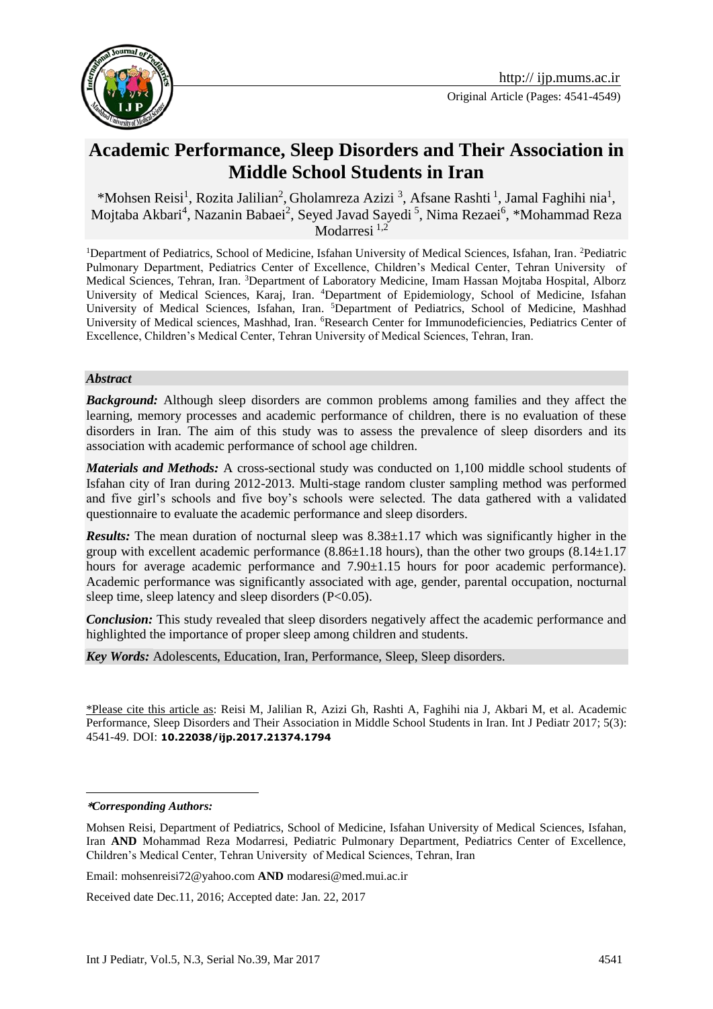

# **Academic Performance, Sleep Disorders and Their Association in Middle School Students in Iran**

\*Mohsen Reisi<sup>1</sup>, Rozita Jalilian<sup>2</sup>, Gholamreza Azizi<sup>3</sup>, Afsane Rashti<sup>1</sup>, Jamal Faghihi nia<sup>1</sup>, Mojtaba Akbari<sup>4</sup>, Nazanin Babaei<sup>2</sup>, Seyed Javad Sayedi<sup>5</sup>, Nima Rezaei<sup>6</sup>, \*Mohammad Reza Modarresi  $^{1,2}$ 

<sup>1</sup>Department of Pediatrics, School of Medicine, Isfahan University of Medical Sciences, Isfahan, Iran. <sup>2</sup>Pediatric Pulmonary Department, Pediatrics Center of Excellence, Children's Medical Center, Tehran University of Medical Sciences, Tehran, Iran. <sup>3</sup>Department of Laboratory Medicine, Imam Hassan Mojtaba Hospital, Alborz University of Medical Sciences, Karaj, Iran. <sup>4</sup>Department of Epidemiology, School of Medicine, Isfahan University of Medical Sciences, Isfahan, Iran. 5Department of Pediatrics, School of Medicine, Mashhad University of Medical sciences, Mashhad, Iran. <sup>6</sup>Research Center for Immunodeficiencies, Pediatrics Center of Excellence, Children's Medical Center, Tehran University of Medical Sciences, Tehran, Iran.

#### *Abstract*

**Background:** Although sleep disorders are common problems among families and they affect the learning, memory processes and academic performance of children, there is no evaluation of these disorders in Iran. The aim of this study was to assess the prevalence of sleep disorders and its association with academic performance of school age children.

*Materials and Methods:* A cross-sectional study was conducted on 1,100 middle school students of Isfahan city of Iran during 2012-2013. Multi-stage random cluster sampling method was performed and five girl's schools and five boy's schools were selected. The data gathered with a validated questionnaire to evaluate the academic performance and sleep disorders.

*Results:* The mean duration of nocturnal sleep was 8.38±1.17 which was significantly higher in the group with excellent academic performance  $(8.86\pm1.18$  hours), than the other two groups  $(8.14\pm1.17$ hours for average academic performance and  $7.90\pm1.15$  hours for poor academic performance). Academic performance was significantly associated with age, gender, parental occupation, nocturnal sleep time, sleep latency and sleep disorders (P<0.05).

*Conclusion:* This study revealed that sleep disorders negatively affect the academic performance and highlighted the importance of proper sleep among children and students.

*Key Words:* Adolescents, Education, Iran, Performance, Sleep, Sleep disorders.

\*Please cite this article as: Reisi M, Jalilian R, Azizi Gh, Rashti A, Faghihi nia J, Akbari M, et al. Academic Performance, Sleep Disorders and Their Association in Middle School Students in Iran. Int J Pediatr 2017; 5(3): 4541-49. DOI: **10.22038/ijp.2017.21374.1794**

#### **\****Corresponding Authors:*

1

Email: mohsenreisi72@yahoo.com **AND** modaresi@med.mui.ac.ir

Received date Dec.11, 2016; Accepted date: Jan. 22, 2017

Mohsen Reisi, Department of Pediatrics, School of Medicine, Isfahan University of Medical Sciences, Isfahan, Iran **AND** Mohammad Reza Modarresi, Pediatric Pulmonary Department, Pediatrics Center of Excellence, Children's Medical Center, Tehran University of Medical Sciences, Tehran, Iran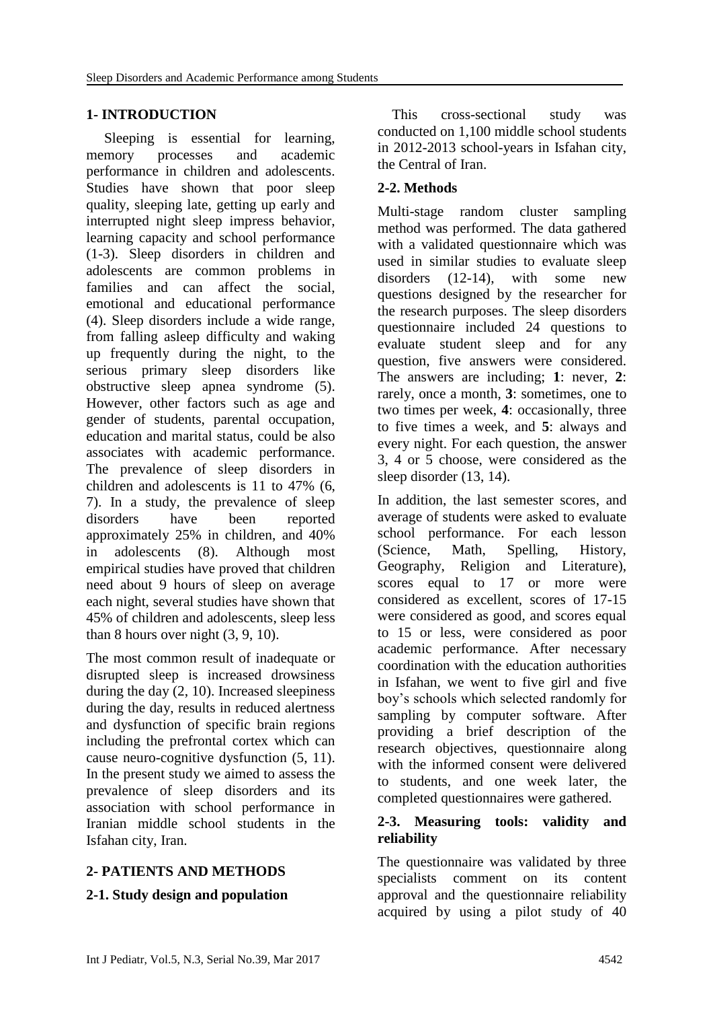#### **1- INTRODUCTION**

Sleeping is essential for learning, memory processes and academic performance in children and adolescents. Studies have shown that poor sleep quality, sleeping late, getting up early and interrupted night sleep impress behavior, learning capacity and school performance (1-3). Sleep disorders in children and adolescents are common problems in families and can affect the social, emotional and educational performance (4). Sleep disorders include a wide range, from falling asleep difficulty and waking up frequently during the night, to the serious primary sleep disorders like obstructive sleep apnea syndrome (5). However, other factors such as age and gender of students, parental occupation, education and marital status, could be also associates with academic performance. The prevalence of sleep disorders in children and adolescents is 11 to 47% (6, 7). In a study, the prevalence of sleep disorders have been reported approximately 25% in children, and 40% in adolescents (8). Although most empirical studies have proved that children need about 9 hours of sleep on average each night, several studies have shown that 45% of children and adolescents, sleep less than 8 hours over night (3, 9, 10).

The most common result of inadequate or disrupted sleep is increased drowsiness during the day  $(2, 10)$ . Increased sleepiness during the day, results in reduced alertness and dysfunction of specific brain regions including the prefrontal cortex which can cause neuro-cognitive dysfunction (5, 11). In the present study we aimed to assess the prevalence of sleep disorders and its association with school performance in Iranian middle school students in the Isfahan city, Iran.

# **2- PATIENTS AND METHODS**

#### **2-1. Study design and population**

 This cross-sectional study was conducted on 1,100 middle school students in 2012-2013 school-years in Isfahan city, the Central of Iran.

# **2-2. Methods**

Multi-stage random cluster sampling method was performed. The data gathered with a validated questionnaire which was used in similar studies to evaluate sleep disorders (12-14), with some new questions designed by the researcher for the research purposes. The sleep disorders questionnaire included 24 questions to evaluate student sleep and for any question, five answers were considered. The answers are including; **1**: never, **2**: rarely, once a month, **3**: sometimes, one to two times per week, **4**: occasionally, three to five times a week, and **5**: always and every night. For each question, the answer 3, 4 or 5 choose, were considered as the sleep disorder (13, 14).

In addition, the last semester scores, and average of students were asked to evaluate school performance. For each lesson (Science, Math, Spelling, History, Geography, Religion and Literature), scores equal to 17 or more were considered as excellent, scores of 17-15 were considered as good, and scores equal to 15 or less, were considered as poor academic performance. After necessary coordination with the education authorities in Isfahan, we went to five girl and five boy's schools which selected randomly for sampling by computer software. After providing a brief description of the research objectives, questionnaire along with the informed consent were delivered to students, and one week later, the completed questionnaires were gathered.

#### **2-3. Measuring tools: validity and reliability**

The questionnaire was validated by three specialists comment on its content approval and the questionnaire reliability acquired by using a pilot study of 40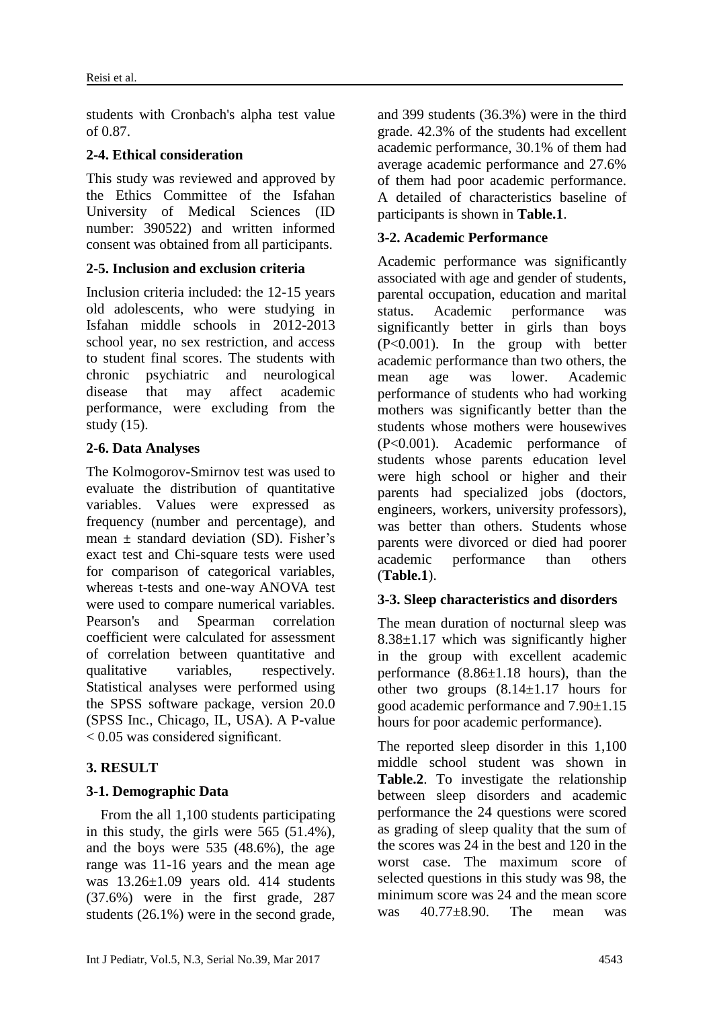students with Cronbach's alpha test value of 0.87.

### **2-4. Ethical consideration**

This study was reviewed and approved by the Ethics Committee of the Isfahan University of Medical Sciences (ID number: 390522) and written informed consent was obtained from all participants.

#### **2-5. Inclusion and exclusion criteria**

Inclusion criteria included: the 12-15 years old adolescents, who were studying in Isfahan middle schools in 2012-2013 school year, no sex restriction, and access to student final scores. The students with chronic psychiatric and neurological disease that may affect academic performance, were excluding from the study (15).

#### **2-6. Data Analyses**

The Kolmogorov-Smirnov test was used to evaluate the distribution of quantitative variables. Values were expressed as frequency (number and percentage), and mean  $+$  standard deviation (SD). Fisher's exact test and Chi-square tests were used for comparison of categorical variables, whereas t-tests and one-way ANOVA test were used to compare numerical variables. Pearson's and Spearman correlation coefficient were calculated for assessment of correlation between quantitative and qualitative variables, respectively. Statistical analyses were performed using the SPSS software package, version 20.0 (SPSS Inc., Chicago, IL, USA). A P-value < 0.05 was considered significant.

# **3. RESULT**

# **3-1. Demographic Data**

 From the all 1,100 students participating in this study, the girls were 565 (51.4%), and the boys were 535 (48.6%), the age range was 11-16 years and the mean age was 13.26±1.09 years old. 414 students (37.6%) were in the first grade, 287 students (26.1%) were in the second grade, and 399 students (36.3%) were in the third grade. 42.3% of the students had excellent academic performance, 30.1% of them had average academic performance and 27.6% of them had poor academic performance. A detailed of characteristics baseline of participants is shown in **Table.1**.

### **3-2. Academic Performance**

Academic performance was significantly associated with age and gender of students, parental occupation, education and marital status. Academic performance was significantly better in girls than boys (P<0.001). In the group with better academic performance than two others, the mean age was lower. Academic performance of students who had working mothers was significantly better than the students whose mothers were housewives (P<0.001). Academic performance of students whose parents education level were high school or higher and their parents had specialized jobs (doctors, engineers, workers, university professors), was better than others. Students whose parents were divorced or died had poorer academic performance than others (**Table.1**).

# **3-3. Sleep characteristics and disorders**

The mean duration of nocturnal sleep was  $8.38\pm1.17$  which was significantly higher in the group with excellent academic performance  $(8.86\pm1.18$  hours), than the other two groups  $(8.14 \pm 1.17)$  hours for good academic performance and 7.90±1.15 hours for poor academic performance).

The reported sleep disorder in this 1,100 middle school student was shown in **Table.2**. To investigate the relationship between sleep disorders and academic performance the 24 questions were scored as grading of sleep quality that the sum of the scores was 24 in the best and 120 in the worst case. The maximum score of selected questions in this study was 98, the minimum score was 24 and the mean score was 40.77±8.90. The mean was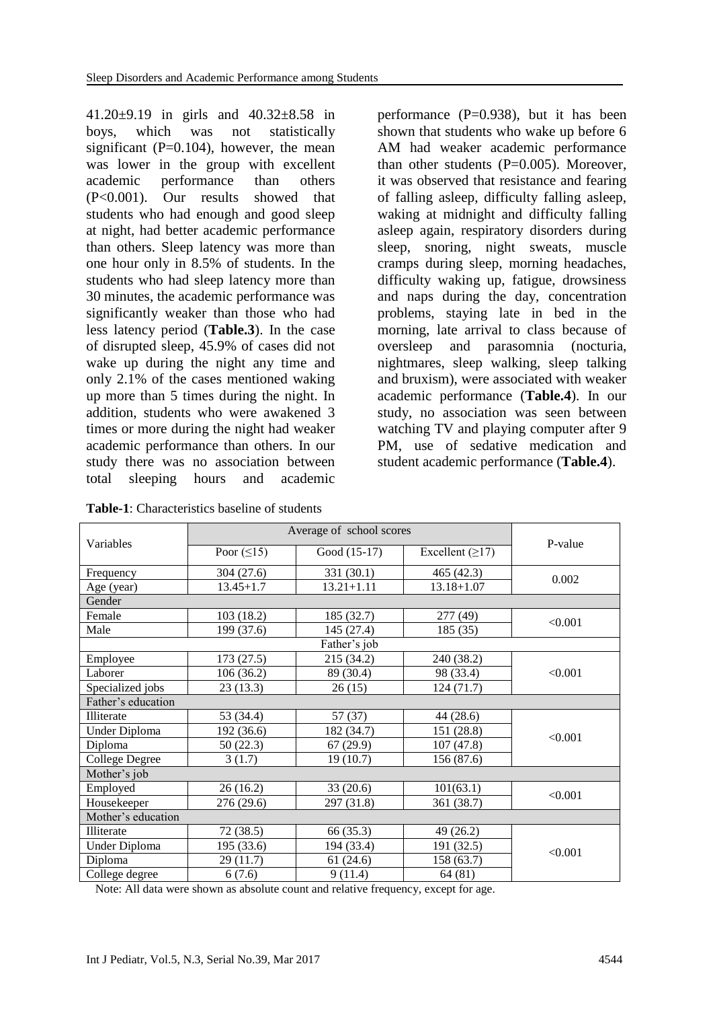41.20±9.19 in girls and 40.32±8.58 in boys, which was not statistically significant  $(P=0.104)$ , however, the mean was lower in the group with excellent academic performance than others (P<0.001). Our results showed that students who had enough and good sleep at night, had better academic performance than others. Sleep latency was more than one hour only in 8.5% of students. In the students who had sleep latency more than 30 minutes, the academic performance was significantly weaker than those who had less latency period (**Table.3**). In the case of disrupted sleep, 45.9% of cases did not wake up during the night any time and only 2.1% of the cases mentioned waking up more than 5 times during the night. In addition, students who were awakened 3 times or more during the night had weaker academic performance than others. In our study there was no association between total sleeping hours and academic

**Table-1**: Characteristics baseline of students

performance  $(P=0.938)$ , but it has been shown that students who wake up before 6 AM had weaker academic performance than other students  $(P=0.005)$ . Moreover, it was observed that resistance and fearing of falling asleep, difficulty falling asleep, waking at midnight and difficulty falling asleep again, respiratory disorders during sleep, snoring, night sweats, muscle cramps during sleep, morning headaches, difficulty waking up, fatigue, drowsiness and naps during the day, concentration problems, staying late in bed in the morning, late arrival to class because of oversleep and parasomnia (nocturia, nightmares, sleep walking, sleep talking and bruxism), were associated with weaker academic performance (**Table.4**). In our study, no association was seen between watching TV and playing computer after 9 PM, use of sedative medication and student academic performance (**Table.4**).

|                      | Average of school scores    |                |                         |         |  |  |
|----------------------|-----------------------------|----------------|-------------------------|---------|--|--|
| Variables            | Poor $( \leq 15)$           | Good (15-17)   | Excellent $(\geq 17)$   | P-value |  |  |
| Frequency            | 304 (27.6)                  | 331 (30.1)     | 465 (42.3)              | 0.002   |  |  |
| Age (year)           | $13.45 + 1.7$               | $13.21 + 1.11$ | $13.18 + 1.07$          |         |  |  |
| Gender               |                             |                |                         |         |  |  |
| Female               | 103 (18.2)                  | 185 (32.7)     | 277 (49)                | < 0.001 |  |  |
| Male                 | 199 (37.6)                  | 145 (27.4)     | 185(35)                 |         |  |  |
|                      |                             | Father's job   |                         |         |  |  |
| Employee             | 173(27.5)                   | 215 (34.2)     | 240 (38.2)              |         |  |  |
| Laborer              | 106 (36.2)                  | 89 (30.4)      | 98 (33.4)               | < 0.001 |  |  |
| Specialized jobs     | 23(13.3)                    | 26(15)         | 124(71.7)               |         |  |  |
| Father's education   |                             |                |                         |         |  |  |
| Illiterate           | 53 (34.4)                   | 57(37)         | 44 (28.6)               |         |  |  |
| <b>Under Diploma</b> | 192 (36.6)                  | 182 (34.7)     | 151 (28.8)<br>107(47.8) | < 0.001 |  |  |
| Diploma              | 50 (22.3)                   | 67(29.9)       |                         |         |  |  |
| College Degree       | 3(1.7)                      | 19(10.7)       | 156 (87.6)              |         |  |  |
| Mother's job         |                             |                |                         |         |  |  |
| Employed             | 26(16.2)                    | 33(20.6)       | 101(63.1)               | < 0.001 |  |  |
| Housekeeper          | 276 (29.6)                  | 297 (31.8)     | 361 (38.7)              |         |  |  |
| Mother's education   |                             |                |                         |         |  |  |
| Illiterate           | 72 (38.5)                   | 66 (35.3)      | 49(26.2)                |         |  |  |
| Under Diploma        | 195 (33.6)                  | 194 (33.4)     | 191 (32.5)              | < 0.001 |  |  |
| Diploma              | 29(11.7)                    |                | 158 (63.7)              |         |  |  |
| College degree       | 9(11.4)<br>64(81)<br>6(7.6) |                |                         |         |  |  |

Note: All data were shown as absolute count and relative frequency, except for age.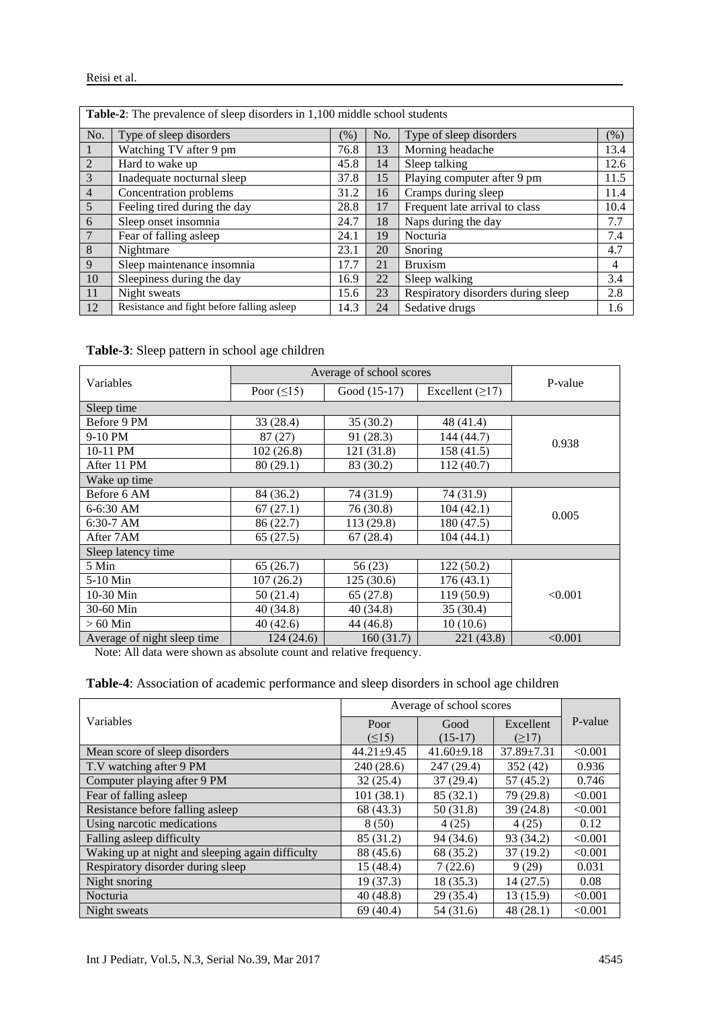| Table-2: The prevalence of sleep disorders in 1,100 middle school students |                                             |      |     |                                    |      |
|----------------------------------------------------------------------------|---------------------------------------------|------|-----|------------------------------------|------|
| No.                                                                        | Type of sleep disorders                     | (%)  | No. | Type of sleep disorders            | (% ) |
| 1                                                                          | Watching TV after 9 pm                      | 76.8 | 13  | Morning headache                   | 13.4 |
| $\overline{2}$                                                             | Hard to wake up                             | 45.8 | 14  | Sleep talking                      | 12.6 |
| $\overline{3}$                                                             | Inadequate nocturnal sleep                  | 37.8 | 15  | Playing computer after 9 pm        | 11.5 |
| $\overline{4}$                                                             | Concentration problems                      | 31.2 | 16  | Cramps during sleep                | 11.4 |
| 5                                                                          | Feeling tired during the day                | 28.8 | 17  | Frequent late arrival to class     | 10.4 |
| 6                                                                          | Sleep onset insomnia                        | 24.7 | 18  | Naps during the day                | 7.7  |
| $7\phantom{.0}$                                                            | Fear of falling asleep                      | 24.1 | 19  | Nocturia                           | 7.4  |
| 8                                                                          | Nightmare                                   | 23.1 | 20  | Snoring                            | 4.7  |
| 9                                                                          | Sleep maintenance insomnia                  | 17.7 | 21  | <b>Bruxism</b>                     | 4    |
| 10                                                                         | Sleepiness during the day                   | 16.9 | 22  | Sleep walking                      | 3.4  |
| 11                                                                         | Night sweats                                | 15.6 | 23  | Respiratory disorders during sleep | 2.8  |
| 12                                                                         | Resistance and fight before falling as leep | 14.3 | 24  | Sedative drugs                     | 1.6  |

**Table-3**: Sleep pattern in school age children

|                             | Average of school scores |              |                   |         |  |  |
|-----------------------------|--------------------------|--------------|-------------------|---------|--|--|
| Variables                   | Poor $(\leq 15)$         | Good (15-17) | Excellent $(≥17)$ | P-value |  |  |
| Sleep time                  |                          |              |                   |         |  |  |
| Before 9 PM                 | 33 (28.4)                | 35(30.2)     | 48 (41.4)         |         |  |  |
| 9-10 PM                     | 87 (27)                  | 91 (28.3)    | 144 (44.7)        | 0.938   |  |  |
| 10-11 PM                    | 102(26.8)                | 121 (31.8)   | 158(41.5)         |         |  |  |
| After 11 PM                 | 80(29.1)                 | 83 (30.2)    | 112(40.7)         |         |  |  |
| Wake up time                |                          |              |                   |         |  |  |
| Before 6 AM                 | 84 (36.2)                | 74 (31.9)    | 74 (31.9)         |         |  |  |
| $6-6:30$ AM                 | 67(27.1)                 | 76 (30.8)    | 104(42.1)         | 0.005   |  |  |
| $6:30-7$ AM                 | 86 (22.7)                | 113 (29.8)   | 180 (47.5)        |         |  |  |
| After 7AM                   | 65(27.5)                 | 67(28.4)     | 104(44.1)         |         |  |  |
| Sleep latency time          |                          |              |                   |         |  |  |
| 5 Min                       | 65(26.7)                 | 56(23)       | 122(50.2)         |         |  |  |
| 5-10 Min                    | 107(26.2)                | 125(30.6)    | 176(43.1)         |         |  |  |
| 10-30 Min                   | 50(21.4)                 | 65(27.8)     | 119(50.9)         | < 0.001 |  |  |
| 30-60 Min                   | 40(34.8)                 | 40(34.8)     | 35(30.4)          |         |  |  |
| $>60$ Min                   | 40(42.6)                 | 44 (46.8)    | 10(10.6)          |         |  |  |
| Average of night sleep time | 124(24.6)                | 160(31.7)    | 221 (43.8)        | < 0.001 |  |  |

Note: All data were shown as absolute count and relative frequency.

**Table-4**: Association of academic performance and sleep disorders in school age children

|                                                  | Average of school scores |                  |                  |         |
|--------------------------------------------------|--------------------------|------------------|------------------|---------|
| Variables                                        | Poor                     | Good             | Excellent        | P-value |
|                                                  | $(\leq15)$               | $(15-17)$        | (217)            |         |
| Mean score of sleep disorders                    | $44.21 \pm 9.45$         | $41.60 \pm 9.18$ | $37.89 \pm 7.31$ | < 0.001 |
| T.V watching after 9 PM                          | 240(28.6)                | 247 (29.4)       | 352(42)          | 0.936   |
| Computer playing after 9 PM                      | 32(25.4)                 | 37(29.4)         | 57(45.2)         | 0.746   |
| Fear of falling asleep                           | 101(38.1)                | 85(32.1)         | 79 (29.8)        | < 0.001 |
| Resistance before falling asleep                 | 68 (43.3)                | 50(31.8)         | 39(24.8)         | < 0.001 |
| Using narcotic medications                       | 8(50)                    | 4(25)            | 4(25)            | 0.12    |
| Falling asleep difficulty                        | 85 (31.2)                | 94 (34.6)        | 93 (34.2)        | < 0.001 |
| Waking up at night and sleeping again difficulty | 88 (45.6)                | 68 (35.2)        | 37(19.2)         | < 0.001 |
| Respiratory disorder during sleep                | 15(48.4)                 | 7(22.6)          | 9(29)            | 0.031   |
| Night snoring                                    | 19 (37.3)                | 18(35.3)         | 14(27.5)         | 0.08    |
| Nocturia                                         | 40(48.8)                 | 29(35.4)         | 13(15.9)         | < 0.001 |
| Night sweats                                     | 69(40.4)                 | 54 (31.6)        | 48(28.1)         | < 0.001 |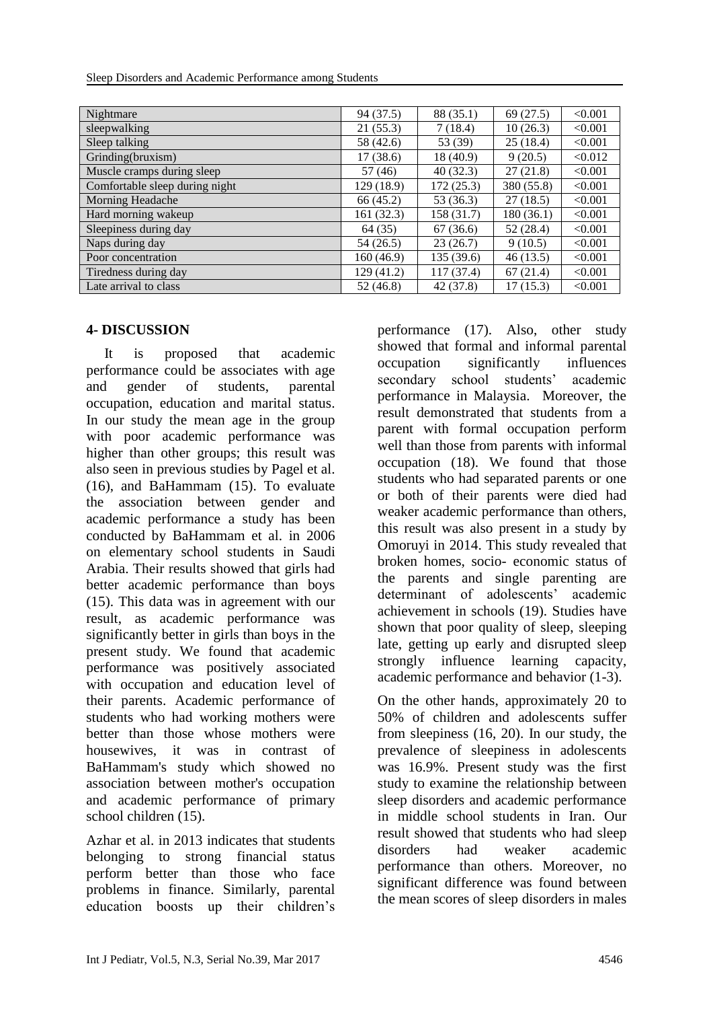Sleep Disorders and Academic Performance among Students

| Nightmare                      | 94 (37.5)  | 88 (35.1)  | 69(27.5)   | < 0.001 |
|--------------------------------|------------|------------|------------|---------|
| sleepwalking                   | 21(55.3)   | 7(18.4)    | 10(26.3)   | < 0.001 |
| Sleep talking                  | 58 (42.6)  | 53 (39)    | 25(18.4)   | < 0.001 |
| Grinding(bruxism)              | 17(38.6)   | 18 (40.9)  | 9(20.5)    | < 0.012 |
| Muscle cramps during sleep     | 57(46)     | 40(32.3)   | 27(21.8)   | < 0.001 |
| Comfortable sleep during night | 129 (18.9) | 172(25.3)  | 380 (55.8) | < 0.001 |
| Morning Headache               | 66 (45.2)  | 53 (36.3)  | 27(18.5)   | < 0.001 |
| Hard morning wakeup            | 161 (32.3) | 158 (31.7) | 180(36.1)  | < 0.001 |
| Sleepiness during day          | 64(35)     | 67(36.6)   | 52(28.4)   | < 0.001 |
| Naps during day                | 54(26.5)   | 23(26.7)   | 9(10.5)    | < 0.001 |
| Poor concentration             | 160(46.9)  | 135(39.6)  | 46(13.5)   | < 0.001 |
| Tiredness during day           | 129 (41.2) | 117 (37.4) | 67(21.4)   | < 0.001 |
| Late arrival to class          | 52(46.8)   | 42(37.8)   | 17(15.3)   | < 0.001 |

#### **4- DISCUSSION**

 It is proposed that academic performance could be associates with age and gender of students, parental occupation, education and marital status. In our study the mean age in the group with poor academic performance was higher than other groups; this result was also seen in previous studies by Pagel et al. (16), and BaHammam (15). To evaluate the association between gender and academic performance a study has been conducted by BaHammam et al. in 2006 on elementary school students in Saudi Arabia. Their results showed that girls had better academic performance than boys (15). This data was in agreement with our result, as academic performance was significantly better in girls than boys in the present study. We found that academic performance was positively associated with occupation and education level of their parents. Academic performance of students who had working mothers were better than those whose mothers were housewives, it was in contrast of BaHammam's study which showed no association between mother's occupation and academic performance of primary school children (15).

Azhar et al. in 2013 indicates that students belonging to strong financial status perform better than those who face problems in finance. Similarly, parental education boosts up their children's

performance (17). Also, other study showed that formal and informal parental occupation significantly influences secondary school students' academic performance in Malaysia. Moreover, the result demonstrated that students from a parent with formal occupation perform well than those from parents with informal occupation (18). We found that those students who had separated parents or one or both of their parents were died had weaker academic performance than others, this result was also present in a study by Omoruyi in 2014. This study revealed that broken homes, socio- economic status of the parents and single parenting are determinant of adolescents' academic achievement in schools (19). Studies have shown that poor quality of sleep, sleeping late, getting up early and disrupted sleep strongly influence learning capacity, academic performance and behavior (1-3).

On the other hands, approximately 20 to 50% of children and adolescents suffer from sleepiness (16, 20). In our study, the prevalence of sleepiness in adolescents was 16.9%. Present study was the first study to examine the relationship between sleep disorders and academic performance in middle school students in Iran. Our result showed that students who had sleep disorders had weaker academic performance than others. Moreover, no significant difference was found between the mean scores of sleep disorders in males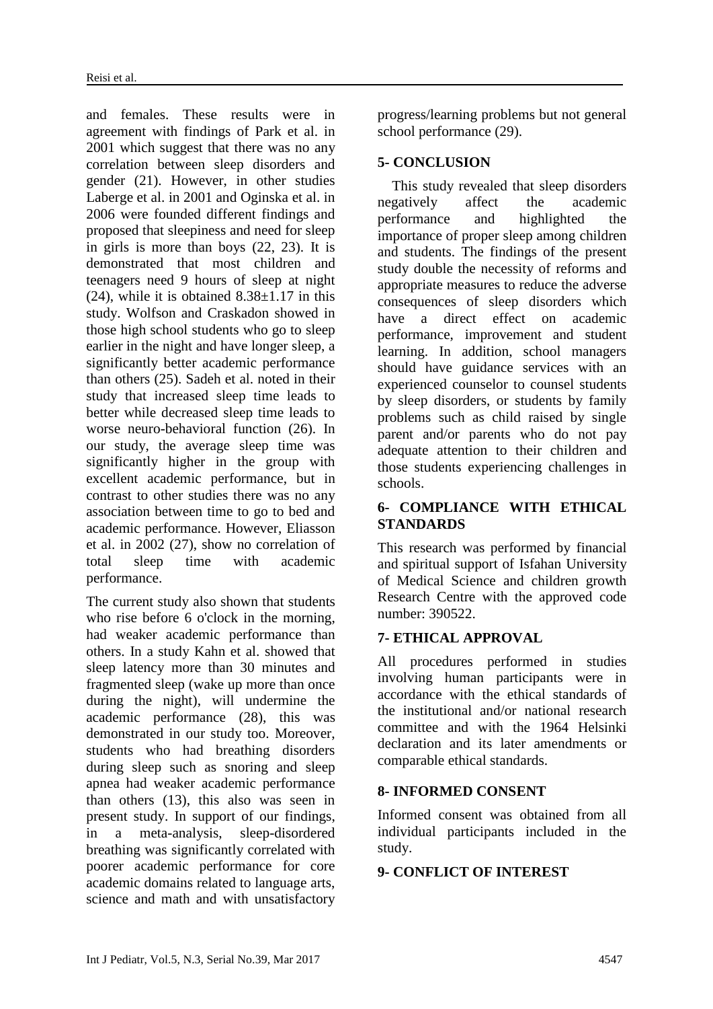and females. These results were in agreement with findings of Park et al. in 2001 which suggest that there was no any correlation between sleep disorders and gender (21). However, in other studies Laberge et al. in 2001 and Oginska et al. in 2006 were founded different findings and proposed that sleepiness and need for sleep in girls is more than boys (22, 23). It is demonstrated that most children and teenagers need 9 hours of sleep at night (24), while it is obtained  $8.38 \pm 1.17$  in this study. Wolfson and Craskadon showed in those high school students who go to sleep earlier in the night and have longer sleep, a significantly better academic performance than others (25). Sadeh et al. noted in their study that increased sleep time leads to better while decreased sleep time leads to worse neuro-behavioral function (26). In our study, the average sleep time was significantly higher in the group with excellent academic performance, but in contrast to other studies there was no any association between time to go to bed and academic performance. However, Eliasson et al. in 2002 (27), show no correlation of total sleep time with academic performance.

The current study also shown that students who rise before 6 o'clock in the morning, had weaker academic performance than others. In a study [Kahn](http://www.ncbi.nlm.nih.gov/pubmed/?term=Kahn%20A%5BAuthor%5D&cauthor=true&cauthor_uid=2788868) et al. showed that sleep latency more than 30 minutes and fragmented sleep (wake up more than once during the night), will undermine the academic performance (28), this was demonstrated in our study too. Moreover, students who had breathing disorders during sleep such as snoring and sleep apnea had weaker academic performance than others (13), this also was seen in present study. In support of our findings, in a meta-analysis, sleep-disordered breathing was significantly correlated with poorer academic performance for core academic domains related to language arts, science and math and with unsatisfactory progress/learning problems but not general school performance (29).

#### **5- CONCLUSION**

 This study revealed that sleep disorders negatively affect the academic performance and highlighted the importance of proper sleep among children and students. The findings of the present study double the necessity of reforms and appropriate measures to reduce the adverse consequences of sleep disorders which have a direct effect on academic performance, improvement and student learning. In addition, school managers should have guidance services with an experienced counselor to counsel students by sleep disorders, or students by family problems such as child raised by single parent and/or parents who do not pay adequate attention to their children and those students experiencing challenges in schools.

# **6- COMPLIANCE WITH ETHICAL STANDARDS**

This research was performed by financial and spiritual support of Isfahan University of Medical Science and children growth Research Centre with the approved code number: 390522.

# **7- ETHICAL APPROVAL**

All procedures performed in studies involving human participants were in accordance with the ethical standards of the institutional and/or national research committee and with the 1964 Helsinki declaration and its later amendments or comparable ethical standards.

# **8- INFORMED CONSENT**

Informed consent was obtained from all individual participants included in the study.

#### **9- CONFLICT OF INTEREST**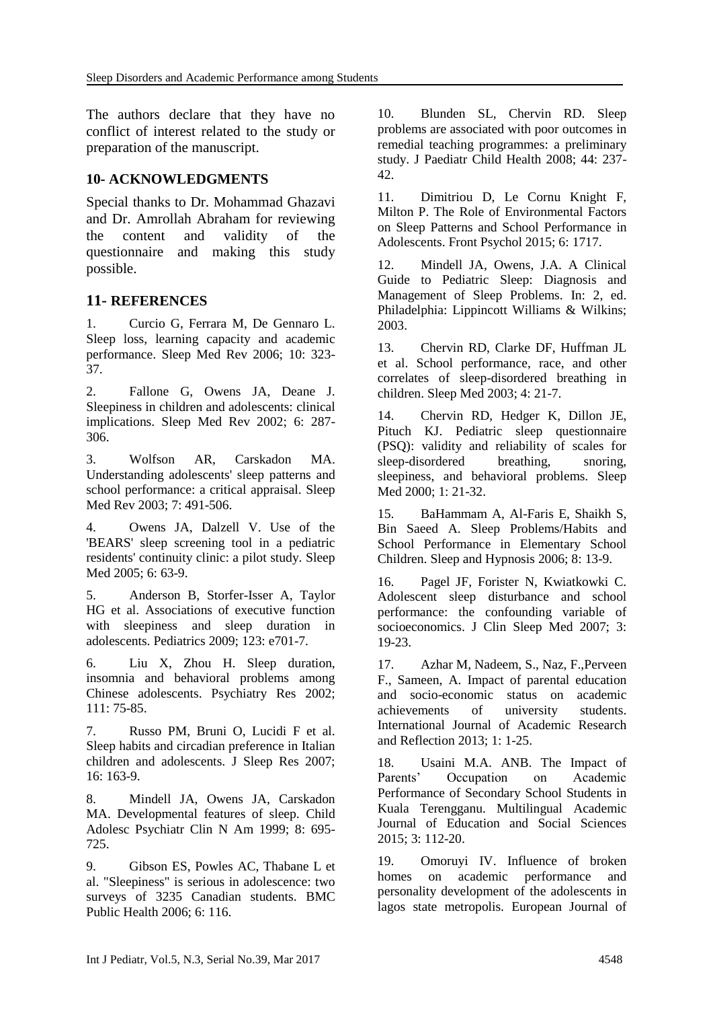The authors declare that they have no conflict of interest related to the study or preparation of the manuscript.

### **10- ACKNOWLEDGMENTS**

Special thanks to Dr. Mohammad Ghazavi and Dr. Amrollah Abraham for reviewing the content and validity of the questionnaire and making this study possible.

#### **11- REFERENCES**

1. Curcio G, Ferrara M, De Gennaro L. Sleep loss, learning capacity and academic performance. Sleep Med Rev 2006; 10: 323- 37.

2. Fallone G, Owens JA, Deane J. Sleepiness in children and adolescents: clinical implications. Sleep Med Rev 2002; 6: 287- 306.

3. Wolfson AR, Carskadon MA. Understanding adolescents' sleep patterns and school performance: a critical appraisal. Sleep Med Rev 2003; 7: 491-506.

4. Owens JA, Dalzell V. Use of the 'BEARS' sleep screening tool in a pediatric residents' continuity clinic: a pilot study. Sleep Med 2005; 6: 63-9.

5. Anderson B, Storfer-Isser A, Taylor HG et al. Associations of executive function with sleepiness and sleep duration in adolescents. Pediatrics 2009; 123: e701-7.

6. Liu X, Zhou H. Sleep duration, insomnia and behavioral problems among Chinese adolescents. Psychiatry Res 2002; 111: 75-85.

7. Russo PM, Bruni O, Lucidi F et al. Sleep habits and circadian preference in Italian children and adolescents. J Sleep Res 2007; 16: 163-9.

8. Mindell JA, Owens JA, Carskadon MA. Developmental features of sleep. Child Adolesc Psychiatr Clin N Am 1999; 8: 695- 725.

9. Gibson ES, Powles AC, Thabane L et al. "Sleepiness" is serious in adolescence: two surveys of 3235 Canadian students. BMC Public Health 2006; 6: 116.

10. Blunden SL, Chervin RD. Sleep problems are associated with poor outcomes in remedial teaching programmes: a preliminary study. J Paediatr Child Health 2008; 44: 237- 42.

11. Dimitriou D, Le Cornu Knight F, Milton P. The Role of Environmental Factors on Sleep Patterns and School Performance in Adolescents. Front Psychol 2015; 6: 1717.

12. Mindell JA, Owens, J.A. A Clinical Guide to Pediatric Sleep: Diagnosis and Management of Sleep Problems. In: 2, ed. Philadelphia: Lippincott Williams & Wilkins; 2003.

13. Chervin RD, Clarke DF, Huffman JL et al. School performance, race, and other correlates of sleep-disordered breathing in children. Sleep Med 2003; 4: 21-7.

14. Chervin RD, Hedger K, Dillon JE, Pituch KJ. Pediatric sleep questionnaire (PSQ): validity and reliability of scales for sleep-disordered breathing, snoring, sleepiness, and behavioral problems. Sleep Med 2000; 1: 21-32.

15. BaHammam A, Al-Faris E, Shaikh S, Bin Saeed A. Sleep Problems/Habits and School Performance in Elementary School Children. Sleep and Hypnosis 2006; 8: 13-9.

16. Pagel JF, Forister N, Kwiatkowki C. Adolescent sleep disturbance and school performance: the confounding variable of socioeconomics. J Clin Sleep Med 2007; 3: 19-23.

17. Azhar M, Nadeem, S., Naz, F.,Perveen F., Sameen, A. Impact of parental education and socio-economic status on academic achievements of university students. International Journal of Academic Research and Reflection 2013; 1: 1-25.

18. Usaini M.A. ANB. The Impact of Parents' Occupation on Academic Performance of Secondary School Students in Kuala Terengganu. Multilingual Academic Journal of Education and Social Sciences 2015; 3: 112-20.

19. Omoruyi IV. Influence of broken homes on academic performance and personality development of the adolescents in lagos state metropolis. European Journal of